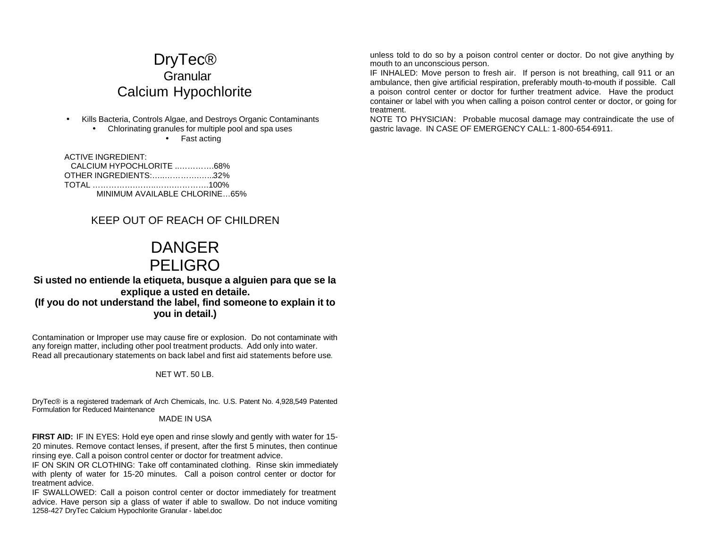## DryTec® Granular Calcium Hypochlorite

- Kills Bacteria, Controls Algae, and Destroys Organic Contaminants
	- Chlorinating granules for multiple pool and spa uses

• Fast acting

ACTIVE INGREDIENT:

 CALCIUM HYPOCHLORITE ..………….68% OTHER INGREDIENTS:…..………….…...32% TOTAL …………….……..…….………….100% MINIMUM AVAILABLE CHLORINE…65%

### KEEP OUT OF REACH OF CHILDREN

# DANGER PELIGRO

#### **Si usted no entiende la etiqueta, busque a alguien para que se la explique a usted en detaile. (If you do not understand the label, find someone to explain it to you in detail.)**

Contamination or Improper use may cause fire or explosion. Do not contaminate with any foreign matter, including other pool treatment products. Add only into water. Read all precautionary statements on back label and first aid statements before use.

#### NET WT. 50 LB.

DryTec® is a registered trademark of Arch Chemicals, Inc. U.S. Patent No. 4,928,549 Patented Formulation for Reduced Maintenance

#### MADE IN USA

**FIRST AID:** IF IN EYES: Hold eye open and rinse slowly and gently with water for 15- 20 minutes. Remove contact lenses, if present, after the first 5 minutes, then continue rinsing eye. Call a poison control center or doctor for treatment advice.

IF ON SKIN OR CLOTHING: Take off contaminated clothing. Rinse skin immediately with plenty of water for 15-20 minutes. Call a poison control center or doctor for treatment advice.

1258-427 DryTec Calcium Hypochlorite Granular - label.doc IF SWALLOWED: Call a poison control center or doctor immediately for treatment advice. Have person sip a glass of water if able to swallow. Do not induce vomiting unless told to do so by a poison control center or doctor. Do not give anything by mouth to an unconscious person.

IF INHALED: Move person to fresh air. If person is not breathing, call 911 or an ambulance, then give artificial respiration, preferably mouth-to-mouth if possible. Call a poison control center or doctor for further treatment advice. Have the product container or label with you when calling a poison control center or doctor, or going for treatment.

NOTE TO PHYSICIAN: Probable mucosal damage may contraindicate the use of gastric lavage. IN CASE OF EMERGENCY CALL: 1-800-654-6911.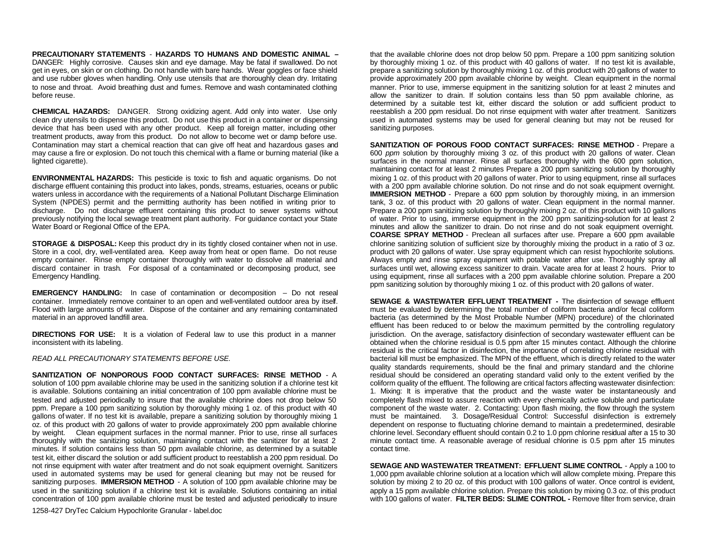**PRECAUTIONARY STATEMENTS** - **HAZARDS TO HUMANS AND DOMESTIC ANIMAL –** DANGER:Highly corrosive. Causes skin and eye damage. May be fatal if swallowed. Do not get in eyes, on skin or on clothing. Do not handle with bare hands. Wear goggles or face shield and use rubber gloves when handling. Only use utensils that are thoroughly clean dry. Irritating to nose and throat. Avoid breathing dust and fumes. Remove and wash contaminated clothing before reuse.

**CHEMICAL HAZARDS:** DANGER. Strong oxidizing agent. Add only into water. Use only clean dry utensils to dispense this product. Do not use this product in a container or dispensing device that has been used with any other product. Keep all foreign matter, including other treatment products, away from this product. Do not allow to become wet or damp before use. Contamination may start a chemical reaction that can give off heat and hazardous gases and may cause a fire or explosion. Do not touch this chemical with a flame or burning material (like a lighted cigarette).

**ENVIRONMENTAL HAZARDS:** This pesticide is toxic to fish and aquatic organisms. Do not discharge effluent containing this product into lakes, ponds, streams, estuaries, oceans or public waters unless in accordance with the requirements of a National Pollutant Discharge Elimination System (NPDES) permit and the permitting authority has been notified in writing prior to discharge. Do not discharge effluent containing this product to sewer systems without previously notifying the local sewage treatment plant authority. For guidance contact your State Water Board or Regional Office of the EPA.

**STORAGE & DISPOSAL:** Keep this product dry in its tightly closed container when not in use. Store in a cool, dry, well-ventilated area. Keep away from heat or open flame. Do not reuse empty container. Rinse empty container thoroughly with water to dissolve all material and discard container in trash. For disposal of a contaminated or decomposing product, see Emergency Handling.

**EMERGENCY HANDLING:** In case of contamination or decomposition – Do not reseal container. Immediately remove container to an open and well-ventilated outdoor area by itself. Flood with large amounts of water. Dispose of the container and any remaining contaminated material in an approved landfill area.

**DIRECTIONS FOR USE:** It is a violation of Federal law to use this product in a manner inconsistent with its labeling.

*READ ALL PRECAUTIONARY STATEMENTS BEFORE USE.*

**SANITIZATION OF NONPOROUS FOOD CONTACT SURFACES: RINSE METHOD** - A solution of 100 ppm available chlorine may be used in the sanitizing solution if a chlorine test kit is available. Solutions containing an initial concentration of 100 ppm available chlorine must be tested and adjusted periodically to insure that the available chlorine does not drop below 50 ppm. Prepare a 100 ppm sanitizing solution by thoroughly mixing 1 oz. of this product with 40 gallons of water. If no test kit is available, prepare a sanitizing solution by thoroughly mixing 1 oz. of this product with 20 gallons of water to provide approximately 200 ppm available chlorine by weight. Clean equipment surfaces in the normal manner. Prior to use, rinse all surfaces thoroughly with the sanitizing solution, maintaining contact with the sanitizer for at least 2 minutes. If solution contains less than 50 ppm available chlorine, as determined by a suitable test kit, either discard the solution or add sufficient product to reestablish a 200 ppm residual. Do not rinse equipment with water after treatment and do not soak equipment overnight. Sanitizers used in automated systems may be used for general cleaning but may not be reused for sanitizing purposes. **IMMERSION METHOD** - A solution of 100 ppm available chlorine may be used in the sanitizing solution if a chlorine test kit is available. Solutions containing an initial concentration of 100 ppm available chlorine must be tested and adjusted periodically to insure

1258-427 DryTec Calcium Hypochlorite Granular - label.doc

that the available chlorine does not drop below 50 ppm. Prepare a 100 ppm sanitizing solution by thoroughly mixing 1 oz. of this product with 40 gallons of water. If no test kit is available, prepare a sanitizing solution by thoroughly mixing 1 oz. of this product with 20 gallons of water to provide approximately 200 ppm available chlorine by weight. Clean equipment in the normal manner. Prior to use, immerse equipment in the sanitizing solution for at least 2 minutes and allow the sanitizer to drain. If solution contains less than 50 ppm available chlorine, as determined by a suitable test kit, either discard the solution or add sufficient product to reestablish a 200 ppm residual. Do not rinse equipment with water after treatment. Sanitizers used in automated systems may be used for general cleaning but may not be reused for sanitizing purposes.

**SANITIZATION OF POROUS FOOD CONTACT SURFACES: RINSE METHOD** - Prepare a 600 *ppm* solution by thoroughly mixing 3 oz. of this product with 20 gallons of water. Clean surfaces in the normal manner. Rinse all surfaces thoroughly with the 600 ppm solution, maintaining contact for at least 2 minutes Prepare a 200 ppm sanitizing solution by thoroughly mixing 1 oz. of this product with 20 gallons of water. Prior to using equipment, rinse all surfaces with a 200 ppm available chlorine solution. Do not rinse and do not soak equipment overnight. **IMMERSION METHOD** - Prepare a 600 ppm solution by thoroughly mixing, in an immersion tank, 3 oz. of this product with 20 gallons of water. Clean equipment in the normal manner. Prepare a 200 ppm sanitizing solution by thoroughly mixing 2 oz. of this product with 10 gallons of water. Prior to using, immerse equipment in the 200 ppm sanitizing-solution for at least 2 minutes and allow the sanitizer to drain. Do not rinse and do not soak equipment overnight. **COARSE SPRAY METHOD** - Preclean all surfaces after use. Prepare a 600 ppm available chlorine sanitizing solution of sufficient size by thoroughly mixing the product in a ratio of 3 oz. product with 20 gallons of water. Use spray equipment which can resist hypochlorite solutions. Always empty and rinse spray equipment with potable water after use. Thoroughly spray all surfaces until wet, allowing excess sanitizer to drain. Vacate area for at least 2 hours. Prior to using equipment, rinse all surfaces with a 200 ppm available chlorine solution. Prepare a 200 ppm sanitizing solution by thoroughly mixing 1 oz. of this product with 20 gallons of water.

**SEWAGE & WASTEWATER EFFLUENT TREATMENT -** The disinfection of sewage effluent must be evaluated by determining the total number of coliform bacteria and/or fecal coliform bacteria (as determined by the Most Probable Number (MPN) procedure) of the chlorinated effluent has been reduced to or below the maximum permitted by the controlling regulatory jurisdiction. On the average, satisfactory disinfection of secondary wastewater effluent can be obtained when the chlorine residual is 0.5 ppm after 15 minutes contact. Although the chlorine residual is the critical factor in disinfection, the importance of correlating chlorine residual with bacterial kill must be emphasized. The MPN of the effluent, which is directly related to the water quality standards requirements, should be the final and primary standard and the chlorine residual should be considered an operating standard valid only to the extent verified by the coliform quality of the effluent. The following are critical factors affecting wastewater disinfection: 1. Mixing: It is imperative that the product and the waste water be instantaneously and completely flash mixed to assure reaction with every chemically active soluble and particulate component of the waste water. 2. Contacting: Upon flash mixing, the flow through the system must be maintained. 3. Dosage/Residual Control: Successful disinfection is extremely dependent on response to fluctuating chlorine demand to maintain a predetermined, desirable chlorine level. Secondary effluent should contain 0.2 to 1.0 ppm chlorine residual after a 15 to 30 minute contact time. A reasonable average of residual chlorine is 0.5 ppm after 15 minutes contact time.

**SEWAGE AND WASTEWATER TREATMENT: EFFLUENT SLIME CONTROL** - Apply a 100 to 1,000 ppm available chlorine solution at a location which will allow complete mixing. Prepare this solution by mixing 2 to 20 oz. of this product with 100 gallons of water. Once control is evident, apply a 15 ppm available chlorine solution. Prepare this solution by mixing 0.3 oz. of this product with 100 gallons of water. **FILTER BEDS: SLIME CONTROL -** Remove filter from service, drain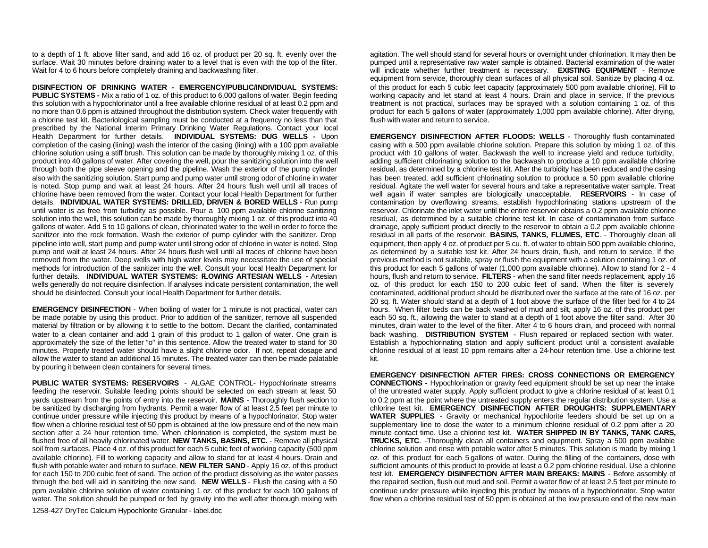to a depth of 1 ft. above filter sand, and add 16 oz. of product per 20 sq. ft. evenly over the surface. Wait 30 minutes before draining water to a level that is even with the top of the filter. Wait for 4 to 6 hours before completely draining and backwashing filter.

**DISINFECTION OF DRINKING WATER - EMERGENCY/PUBLIC/INDIVIDUAL SYSTEMS: PUBLIC SYSTEMS -** Mix a ratio of 1 oz. of this product to 6,000 gallons of water. Begin feeding this solution with a hypochlorinator until a free available chlorine residual of at least 0.2 ppm and no more than 0.6 ppm is attained throughout the distribution system. Check water frequently with a chlorine test kit. Bacteriological sampling must be conducted at a frequency no less than that prescribed by the National Interim Primary Drinking Water Regulations. Contact your local Health Department for further details. **INDIVIDUAL SYSTEMS: DUG WELLS -** Upon completion of the casing (lining) wash the interior of the casing (lining) with a 100 ppm available chlorine solution using a stiff brush. This solution can be made by thoroughly mixing 1 oz. of this product into 40 gallons of water. After covering the well, pour the sanitizing solution into the well through both the pipe sleeve opening and the pipeline. Wash the exterior of the pump cylinder also with the sanitizing solution. Start pump and pump water until strong odor of chlorine in water is noted. Stop pump and wait at least 24 hours. After 24 hours flush well until all traces of chlorine have been removed from the water. Contact your local Health Department for further details. **INDIVIDUAL WATER SYSTEMS: DRILLED, DRIVEN & BORED WELLS** - Run pump until water is as free from turbidity as possible. Pour a 100 ppm available chlorine sanitizing solution into the well, this solution can be made by thoroughly mixing 1 oz. of this product into 40 gallons of water. Add 5 to 10 gallons of clean, chlorinated water to the well in order to force the sanitizer into the rock formation. Wash the exterior of pump cylinder with the sanitizer. Drop pipeline into well, start pump and pump water until strong odor of chlorine in water is noted. Stop pump and wait at least 24 hours. After 24 hours flush well until all traces of chlorine have been removed from the water. Deep wells with high water levels may necessitate the use of special methods for introduction of the sanitizer into the well. Consult your local Health Department for further details. **INDIVIDUAL WATER SYSTEMS: FLOWING ARTESIAN WELLS -** Artesian wells generally do not require disinfection. If analyses indicate persistent contamination, the well should be disinfected. Consult your local Health Department for further details.

**EMERGENCY DISINFECTION** - When boiling of water for 1 minute is not practical, water can be made potable by using this product. Prior to addition of the sanitizer, remove all suspended material by filtration or by allowing it to settle to the bottom. Decant the clarified, contaminated water to a clean container and add 1 grain of this product to 1 gallon of water. One grain is approximately the size of the letter "o" in this sentence. Allow the treated water to stand for 30 minutes. Properly treated water should have a slight chlorine odor. If not, repeat dosage and allow the water to stand an additional 15 minutes. The treated water can then be made palatable by pouring it between clean containers for several times.

**PUBLIC WATER SYSTEMS: RESERVOIRS** - ALGAE CONTROL- Hypochlorinate streams feeding the reservoir. Suitable feeding points should be selected on each stream at least 50 yards upstream from the points of entry into the reservoir. **MAINS** - Thoroughly flush section to be sanitized by discharging from hydrants. Permit a water flow of at least 2.5 feet per minute to continue under pressure while injecting this product by means of a hypochlorinator. Stop water flow when a chlorine residual test of 50 ppm is obtained at the low pressure end of the new main section after a 24 hour retention time. When chlorination is completed, the system must be flushed free of all heavily chlorinated water. **NEW TANKS, BASINS, ETC.** - Remove all physical soil from surfaces. Place 4 oz. of this product for each 5 cubic feet of working capacity (500 ppm available chlorine). Fill to working capacity and allow to stand for at least 4 hours. Drain and flush with potable water and return to surface. **NEW FILTER SAND** - Apply 16 oz. of this product for each 150 to 200 cubic feet of sand. The action of the product dissolving as the water passes through the bed will aid in sanitizing the new sand. **NEW WELLS** - Flush the casing with a 50 ppm available chlorine solution of water containing 1 oz. of this product for each 100 gallons of water. The solution should be pumped or fed by gravity into the well after thorough mixing with

1258-427 DryTec Calcium Hypochlorite Granular - label.doc

agitation. The well should stand for several hours or overnight under chlorination. It may then be pumped until a representative raw water sample is obtained. Bacterial examination of the water will indicate whether further treatment is necessary. **EXISTING EQUIPMENT** - Remove equipment from service, thoroughly clean surfaces of all physical soil. Sanitize by placing 4 oz. of this product for each 5 cubic feet capacity (approximately 500 ppm available chlorine). Fill to working capacity and let stand at least 4 hours. Drain and place in service. If the previous treatment is not practical, surfaces may be sprayed with a solution containing 1 oz. of this product for each 5 gallons of water (approximately 1,000 ppm available chlorine). After drying, flush with water and return to service.

**EMERGENCY DISINFECTION AFTER FLOODS: WELLS** - Thoroughly flush contaminated casing with a 500 ppm available chlorine solution. Prepare this solution by mixing 1 oz. of this product with 10 gallons of water. Backwash the well to increase yield and reduce turbidity, adding sufficient chlorinating solution to the backwash to produce a 10 ppm available chlorine residual, as determined by a chlorine test kit. After the turbidity has been reduced and the casing has been treated, add sufficient chlorinating solution to produce a 50 ppm available chlorine residual. Agitate the well water for several hours and take a representative water sample. Treat well again if water samples are biologically unacceptable. **RESERVOIRS** - In case of contamination by overflowing streams, establish hypochlorinating stations upstream of the reservoir. Chlorinate the inlet water until the entire reservoir obtains a 0.2 ppm available chlorine residual, as determined by a suitable chlorine test kit. In case of contamination from surface drainage, apply sufficient product directly to the reservoir to obtain a 0.2 ppm available chlorine residual in all parts of the reservoir. **BASINS, TANKS, FLUMES, ETC**. - Thoroughly clean all equipment, then apply 4 oz. of product per 5 cu. ft. of water to obtain 500 ppm available chlorine, as determined by a suitable test kit. After 24 hours drain, flush, and return to service. If the previous method is not suitable, spray or flush the equipment with a solution containing 1 oz. of this product for each 5 gallons of water (1,000 ppm available chlorine). Allow to stand for 2 - 4 hours, flush and return to service. **FILTERS** - when the sand filter needs replacement, apply 16 oz. of this product for each 150 to 200 cubic feet of sand. When the filter is severely contaminated, additional product should be distributed over the surface at the rate of 16 oz. per 20 sq. ft. Water should stand at a depth of 1 foot above the surface of the filter bed for 4 to 24 hours. When filter beds can be back washed of mud and silt, apply 16 oz. of this product per each 50 sq. ft., allowing the water to stand at a depth of 1 foot above the filter sand. After 30 minutes, drain water to the level of the filter. After 4 to 6 hours drain, and proceed with normal back washing. **DISTRIBUTION SYSTEM** - Flush repaired or replaced section with water. Establish a hypochlorinating station and apply sufficient product until a consistent available chlorine residual of at least 10 ppm remains after a 24-hour retention time. Use a chlorine test kit.

**EMERGENCY DISINFECTION AFTER FIRES: CROSS CONNECTIONS OR EMERGENCY CONNECTIONS -** Hypochlorination or gravity feed equipment should be set up near the intake of the untreated water supply. Apply sufficient product to give a chlorine residual of at least 0.1 to 0.2 ppm at the point where the untreated supply enters the regular distribution system. Use a chlorine test kit. **EMERGENCY DISINFECTION AFTER DROUGHTS: SUPPLEMENTARY WATER SUPPLIES** - Gravity or mechanical hypochlorite feeders should be set up on a supplementary line to dose the water to a minimum chlorine residual of 0.2 ppm after a 20 minute contact time. Use a chlorine test kit. **WATER SHIPPED IN BY TANKS, TANK CARS, TRUCKS, ETC**. -Thoroughly clean all containers and equipment. Spray a 500 ppm available chlorine solution and rinse with potable water after 5 minutes. This solution is made by mixing 1 oz. of this product for each 5 gallons of water. During the filling of the containers, dose with sufficient amounts of this product to provide at least a 0.2 ppm chlorine residual. Use a chlorine test kit. **EMERGENCY DISINFECTION AFTER MAIN BREAKS: MAINS** - Before assembly of the repaired section, flush out mud and soil. Permit a water flow of at least 2.5 feet per minute to continue under pressure while injecting this product by means of a hypochlorinator. Stop water flow when a chlorine residual test of 50 ppm is obtained at the low pressure end of the new main